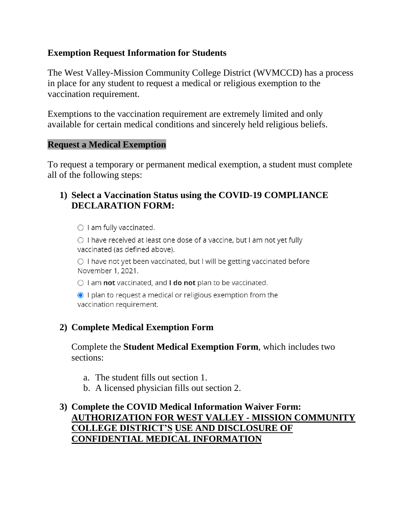### **Exemption Request Information for Students**

The West Valley-Mission Community College District (WVMCCD) has a process in place for any student to request a medical or religious exemption to the vaccination requirement.

Exemptions to the vaccination requirement are extremely limited and only available for certain medical conditions and sincerely held religious beliefs.

### **Request a Medical Exemption**

To request a temporary or permanent medical exemption, a student must complete all of the following steps:

### **1) Select a Vaccination Status using the COVID-19 COMPLIANCE DECLARATION FORM:**

 $\bigcirc$  I am fully vaccinated.

 $\bigcirc$  I have received at least one dose of a vaccine, but I am not yet fully vaccinated (as defined above).

○ I have not yet been vaccinated, but I will be getting vaccinated before November 1, 2021.

 $\circlearrowright$  I am not vaccinated, and **I do not** plan to be vaccinated.

 $\odot$  I plan to request a medical or religious exemption from the vaccination requirement.

## **2) Complete Medical Exemption Form**

Complete the **Student Medical Exemption Form**, which includes two sections:

- a. The student fills out section 1.
- b. A licensed physician fills out section 2.

### **3) Complete the COVID Medical Information Waiver Form: AUTHORIZATION FOR WEST VALLEY - MISSION COMMUNITY COLLEGE DISTRICT'S USE AND DISCLOSURE OF CONFIDENTIAL MEDICAL INFORMATION**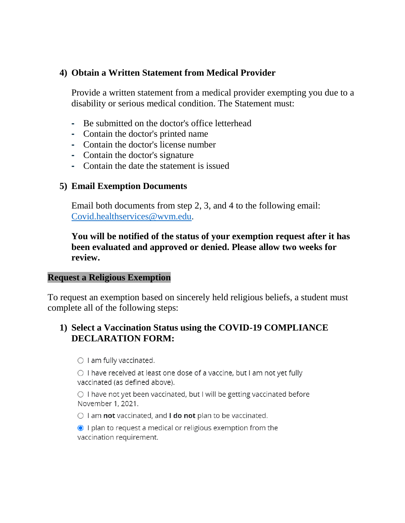### **4) Obtain a Written Statement from Medical Provider**

Provide a written statement from a medical provider exempting you due to a disability or serious medical condition. The Statement must:

- **-** Be submitted on the doctor's office letterhead
- **-** Contain the doctor's printed name
- **-** Contain the doctor's license number
- **-** Contain the doctor's signature
- **-** Contain the date the statement is issued

#### **5) Email Exemption Documents**

Email both documents from step 2, 3, and 4 to the following email: [Covid.healthservices@wvm.edu.](mailto:Covid.healthservices@wvm.edu)

### **You will be notified of the status of your exemption request after it has been evaluated and approved or denied. Please allow two weeks for review.**

#### **Request a Religious Exemption**

To request an exemption based on sincerely held religious beliefs, a student must complete all of the following steps:

### **1) Select a Vaccination Status using the COVID-19 COMPLIANCE DECLARATION FORM:**

 $\bigcirc$  I am fully vaccinated.

 $\circ$  I have received at least one dose of a vaccine, but I am not yet fully vaccinated (as defined above).

O I have not yet been vaccinated, but I will be getting vaccinated before November 1, 2021.

 $\circlearrowright$  I am not vaccinated, and I do not plan to be vaccinated.

I plan to request a medical or religious exemption from the vaccination requirement.